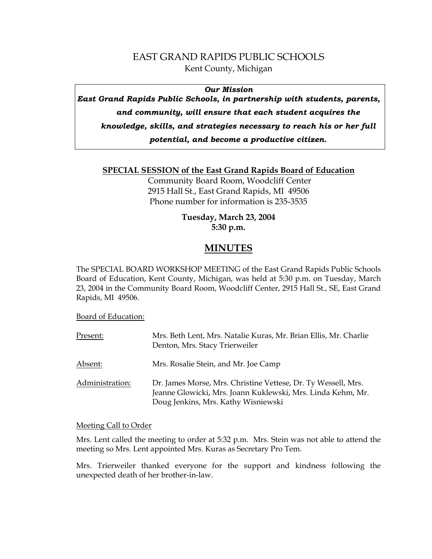## EAST GRAND RAPIDS PUBLIC SCHOOLS Kent County, Michigan

### *Our Mission*

*East Grand Rapids Public Schools, in partnership with students, parents, and community, will ensure that each student acquires the* 

*knowledge, skills, and strategies necessary to reach his or her full* 

*potential, and become a productive citizen.*

## **SPECIAL SESSION of the East Grand Rapids Board of Education**

 Community Board Room, Woodcliff Center 2915 Hall St., East Grand Rapids, MI 49506 Phone number for information is 235-3535

## **Tuesday, March 23, 2004 5:30 p.m.**

# **MINUTES**

The SPECIAL BOARD WORKSHOP MEETING of the East Grand Rapids Public Schools Board of Education, Kent County, Michigan, was held at 5:30 p.m. on Tuesday, March 23, 2004 in the Community Board Room, Woodcliff Center, 2915 Hall St., SE, East Grand Rapids, MI 49506.

Board of Education:

| Present:        | Mrs. Beth Lent, Mrs. Natalie Kuras, Mr. Brian Ellis, Mr. Charlie<br>Denton, Mrs. Stacy Trierweiler                                                                  |
|-----------------|---------------------------------------------------------------------------------------------------------------------------------------------------------------------|
| Absent:         | Mrs. Rosalie Stein, and Mr. Joe Camp                                                                                                                                |
| Administration: | Dr. James Morse, Mrs. Christine Vettese, Dr. Ty Wessell, Mrs.<br>Jeanne Glowicki, Mrs. Joann Kuklewski, Mrs. Linda Kehm, Mr.<br>Doug Jenkins, Mrs. Kathy Wisniewski |

### Meeting Call to Order

Mrs. Lent called the meeting to order at 5:32 p.m. Mrs. Stein was not able to attend the meeting so Mrs. Lent appointed Mrs. Kuras as Secretary Pro Tem.

Mrs. Trierweiler thanked everyone for the support and kindness following the unexpected death of her brother-in-law.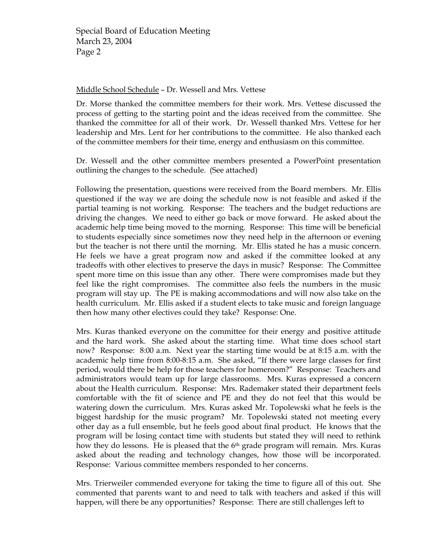#### Middle School Schedule – Dr. Wessell and Mrs. Vettese

Dr. Morse thanked the committee members for their work. Mrs. Vettese discussed the process of getting to the starting point and the ideas received from the committee. She thanked the committee for all of their work. Dr. Wessell thanked Mrs. Vettese for her leadership and Mrs. Lent for her contributions to the committee. He also thanked each of the committee members for their time, energy and enthusiasm on this committee.

Dr. Wessell and the other committee members presented a PowerPoint presentation outlining the changes to the schedule. (See attached)

Following the presentation, questions were received from the Board members. Mr. Ellis questioned if the way we are doing the schedule now is not feasible and asked if the partial teaming is not working. Response: The teachers and the budget reductions are driving the changes. We need to either go back or move forward. He asked about the academic help time being moved to the morning. Response: This time will be beneficial to students especially since sometimes now they need help in the afternoon or evening but the teacher is not there until the morning. Mr. Ellis stated he has a music concern. He feels we have a great program now and asked if the committee looked at any tradeoffs with other electives to preserve the days in music? Response: The Committee spent more time on this issue than any other. There were compromises made but they feel like the right compromises. The committee also feels the numbers in the music program will stay up. The PE is making accommodations and will now also take on the health curriculum. Mr. Ellis asked if a student elects to take music and foreign language then how many other electives could they take? Response: One.

Mrs. Kuras thanked everyone on the committee for their energy and positive attitude and the hard work. She asked about the starting time. What time does school start now? Response: 8:00 a.m. Next year the starting time would be at 8:15 a.m. with the academic help time from 8:00-8:15 a.m. She asked, "If there were large classes for first period, would there be help for those teachers for homeroom?" Response: Teachers and administrators would team up for large classrooms. Mrs. Kuras expressed a concern about the Health curriculum. Response: Mrs. Rademaker stated their department feels comfortable with the fit of science and PE and they do not feel that this would be watering down the curriculum. Mrs. Kuras asked Mr. Topolewski what he feels is the biggest hardship for the music program? Mr. Topolewski stated not meeting every other day as a full ensemble, but he feels good about final product. He knows that the program will be losing contact time with students but stated they will need to rethink how they do lessons. He is pleased that the  $6<sup>th</sup>$  grade program will remain. Mrs. Kuras asked about the reading and technology changes, how those will be incorporated. Response: Various committee members responded to her concerns.

Mrs. Trierweiler commended everyone for taking the time to figure all of this out. She commented that parents want to and need to talk with teachers and asked if this will happen, will there be any opportunities? Response: There are still challenges left to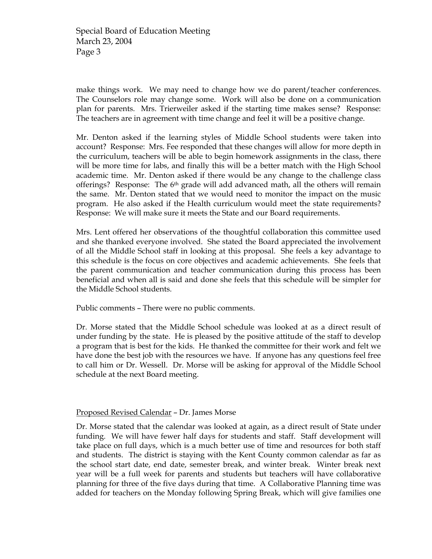make things work. We may need to change how we do parent/teacher conferences. The Counselors role may change some. Work will also be done on a communication plan for parents. Mrs. Trierweiler asked if the starting time makes sense? Response: The teachers are in agreement with time change and feel it will be a positive change.

Mr. Denton asked if the learning styles of Middle School students were taken into account? Response: Mrs. Fee responded that these changes will allow for more depth in the curriculum, teachers will be able to begin homework assignments in the class, there will be more time for labs, and finally this will be a better match with the High School academic time. Mr. Denton asked if there would be any change to the challenge class offerings? Response: The  $6<sup>th</sup>$  grade will add advanced math, all the others will remain the same. Mr. Denton stated that we would need to monitor the impact on the music program. He also asked if the Health curriculum would meet the state requirements? Response: We will make sure it meets the State and our Board requirements.

Mrs. Lent offered her observations of the thoughtful collaboration this committee used and she thanked everyone involved. She stated the Board appreciated the involvement of all the Middle School staff in looking at this proposal. She feels a key advantage to this schedule is the focus on core objectives and academic achievements. She feels that the parent communication and teacher communication during this process has been beneficial and when all is said and done she feels that this schedule will be simpler for the Middle School students.

Public comments – There were no public comments.

Dr. Morse stated that the Middle School schedule was looked at as a direct result of under funding by the state. He is pleased by the positive attitude of the staff to develop a program that is best for the kids. He thanked the committee for their work and felt we have done the best job with the resources we have. If anyone has any questions feel free to call him or Dr. Wessell. Dr. Morse will be asking for approval of the Middle School schedule at the next Board meeting.

### Proposed Revised Calendar – Dr. James Morse

Dr. Morse stated that the calendar was looked at again, as a direct result of State under funding. We will have fewer half days for students and staff. Staff development will take place on full days, which is a much better use of time and resources for both staff and students. The district is staying with the Kent County common calendar as far as the school start date, end date, semester break, and winter break. Winter break next year will be a full week for parents and students but teachers will have collaborative planning for three of the five days during that time. A Collaborative Planning time was added for teachers on the Monday following Spring Break, which will give families one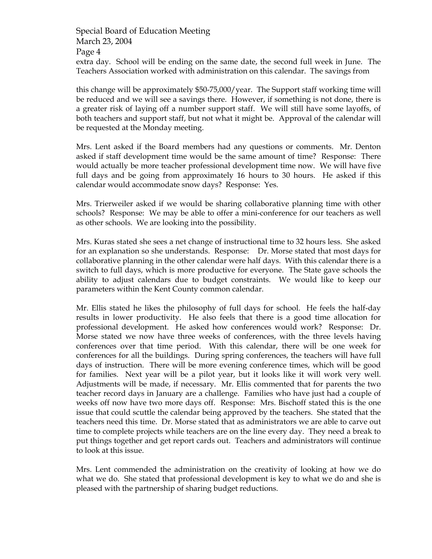Special Board of Education Meeting March 23, 2004 Page 4 extra day. School will be ending on the same date, the second full week in June. The Teachers Association worked with administration on this calendar. The savings from

this change will be approximately \$50-75,000/year. The Support staff working time will be reduced and we will see a savings there. However, if something is not done, there is a greater risk of laying off a number support staff. We will still have some layoffs, of both teachers and support staff, but not what it might be. Approval of the calendar will be requested at the Monday meeting.

Mrs. Lent asked if the Board members had any questions or comments. Mr. Denton asked if staff development time would be the same amount of time? Response: There would actually be more teacher professional development time now. We will have five full days and be going from approximately 16 hours to 30 hours. He asked if this calendar would accommodate snow days? Response: Yes.

Mrs. Trierweiler asked if we would be sharing collaborative planning time with other schools? Response: We may be able to offer a mini-conference for our teachers as well as other schools. We are looking into the possibility.

Mrs. Kuras stated she sees a net change of instructional time to 32 hours less. She asked for an explanation so she understands. Response: Dr. Morse stated that most days for collaborative planning in the other calendar were half days. With this calendar there is a switch to full days, which is more productive for everyone. The State gave schools the ability to adjust calendars due to budget constraints. We would like to keep our parameters within the Kent County common calendar.

Mr. Ellis stated he likes the philosophy of full days for school. He feels the half-day results in lower productivity. He also feels that there is a good time allocation for professional development. He asked how conferences would work? Response: Dr. Morse stated we now have three weeks of conferences, with the three levels having conferences over that time period. With this calendar, there will be one week for conferences for all the buildings. During spring conferences, the teachers will have full days of instruction. There will be more evening conference times, which will be good for families. Next year will be a pilot year, but it looks like it will work very well. Adjustments will be made, if necessary. Mr. Ellis commented that for parents the two teacher record days in January are a challenge. Families who have just had a couple of weeks off now have two more days off. Response: Mrs. Bischoff stated this is the one issue that could scuttle the calendar being approved by the teachers. She stated that the teachers need this time. Dr. Morse stated that as administrators we are able to carve out time to complete projects while teachers are on the line every day. They need a break to put things together and get report cards out. Teachers and administrators will continue to look at this issue.

Mrs. Lent commended the administration on the creativity of looking at how we do what we do. She stated that professional development is key to what we do and she is pleased with the partnership of sharing budget reductions.